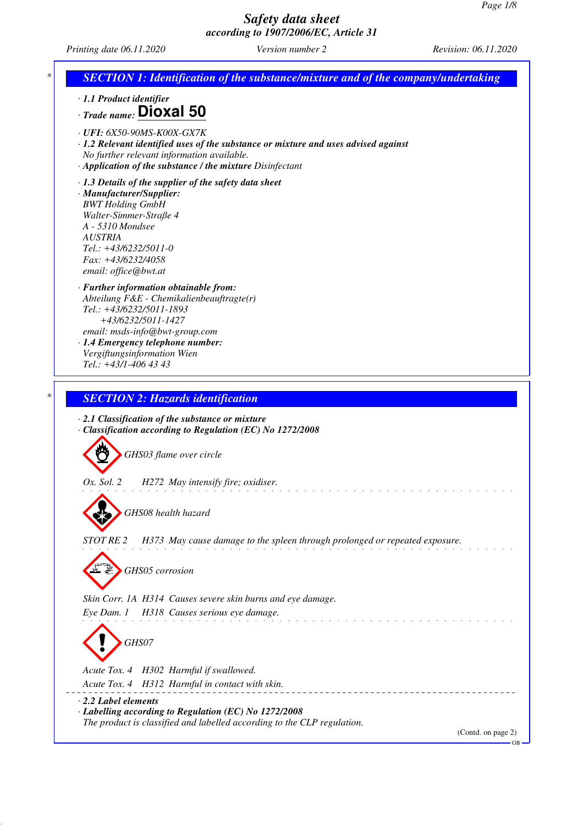GB

## *Safety data sheet according to 1907/2006/EC, Article 31*

*Printing date 06.11.2020 Version number 2 Revision: 06.11.2020*

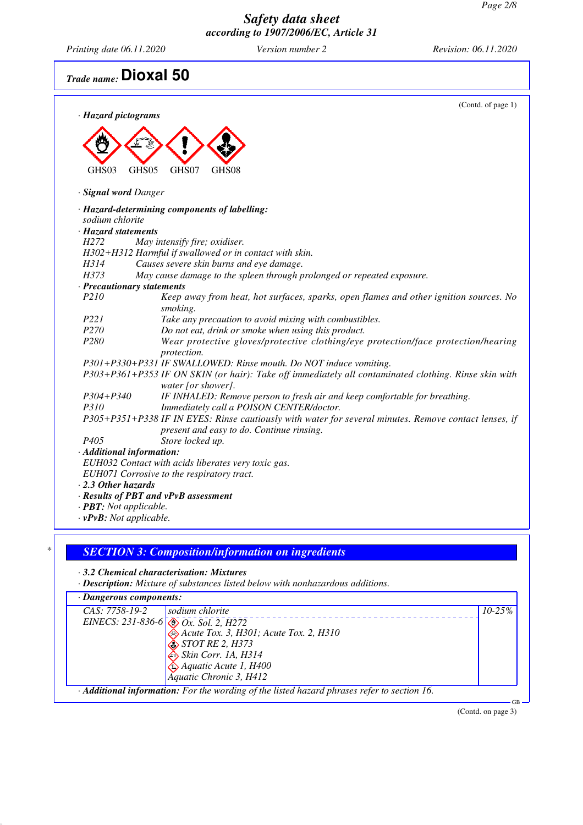*Printing date 06.11.2020 Version number 2 Revision: 06.11.2020*

# *Trade name:* **Dioxal 50**

| · Hazard pictograms            | (Contd. of page 1)                                                                                                         |
|--------------------------------|----------------------------------------------------------------------------------------------------------------------------|
|                                |                                                                                                                            |
|                                |                                                                                                                            |
|                                |                                                                                                                            |
| GHS03                          | GHS05<br>GHS07<br>GHS08                                                                                                    |
| · Signal word Danger           |                                                                                                                            |
|                                | · Hazard-determining components of labelling:                                                                              |
| sodium chlorite                |                                                                                                                            |
| · Hazard statements            |                                                                                                                            |
| H <sub>272</sub>               | May intensify fire; oxidiser.                                                                                              |
|                                | H302+H312 Harmful if swallowed or in contact with skin.                                                                    |
| H314                           | Causes severe skin burns and eye damage.                                                                                   |
| H373                           | May cause damage to the spleen through prolonged or repeated exposure.                                                     |
| · Precautionary statements     |                                                                                                                            |
| P210                           | Keep away from heat, hot surfaces, sparks, open flames and other ignition sources. No<br>smoking.                          |
| P221                           | Take any precaution to avoid mixing with combustibles.                                                                     |
| P <sub>270</sub>               | Do not eat, drink or smoke when using this product.                                                                        |
| P <sub>280</sub>               | Wear protective gloves/protective clothing/eye protection/face protection/hearing<br>protection.                           |
|                                | P301+P330+P331 IF SWALLOWED: Rinse mouth. Do NOT induce vomiting.                                                          |
|                                | P303+P361+P353 IF ON SKIN (or hair): Take off immediately all contaminated clothing. Rinse skin with<br>water [or shower]. |
| P304+P340                      | IF INHALED: Remove person to fresh air and keep comfortable for breathing.                                                 |
| <i>P310</i>                    | Immediately call a POISON CENTER/doctor.                                                                                   |
|                                | P305+P351+P338 IF IN EYES: Rinse cautiously with water for several minutes. Remove contact lenses, if                      |
|                                | present and easy to do. Continue rinsing.                                                                                  |
| P <sub>405</sub>               | Store locked up.                                                                                                           |
| · Additional information:      |                                                                                                                            |
|                                | EUH032 Contact with acids liberates very toxic gas.                                                                        |
|                                | EUH071 Corrosive to the respiratory tract.                                                                                 |
| $\cdot$ 2.3 Other hazards      |                                                                                                                            |
|                                | · Results of PBT and vPvB assessment                                                                                       |
| · <b>PBT</b> : Not applicable. |                                                                                                                            |
| $\cdot$ vPvB: Not applicable.  |                                                                                                                            |

#### *\* SECTION 3: Composition/information on ingredients*

*· 3.2 Chemical characterisation: Mixtures*

*· Description: Mixture of substances listed below with nonhazardous additions.*

| $\cdot$ Dangerous components:                                                                            |             |
|----------------------------------------------------------------------------------------------------------|-------------|
| CAS: 7758-19-2<br>sodium chlorite                                                                        | $10 - 25\%$ |
| EINECS: 231-836-6 $\otimes$ Ox. Sol. 2, H272                                                             |             |
| Acute Tox. 3, H301; Acute Tox. 2, H310                                                                   |             |
| $\bigotimes$ STOT RE 2, H373                                                                             |             |
| Skin Corr. 1A, H314                                                                                      |             |
| $\bigotimes$ Aquatic Acute 1, H400                                                                       |             |
| Aquatic Chronic 3, H412                                                                                  |             |
| $\cdot$ <b>Additional information:</b> For the wording of the listed hazard phrases refer to section 16. | $GR -$      |

(Contd. on page 3)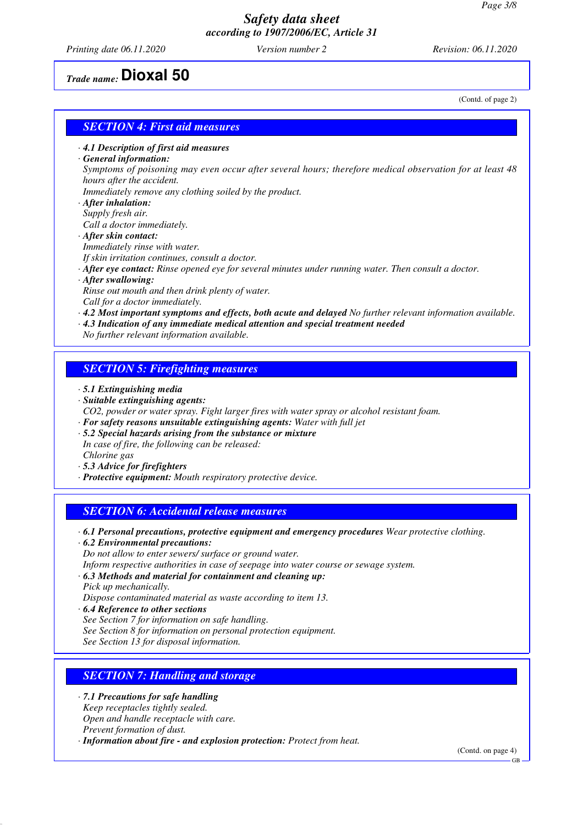*Printing date 06.11.2020 Version number 2 Revision: 06.11.2020*

(Contd. of page 2)

*Trade name:* **Dioxal 50**

#### *SECTION 4: First aid measures*

*· 4.1 Description of first aid measures*

#### *· General information:*

*Symptoms of poisoning may even occur after several hours; therefore medical observation for at least 48 hours after the accident.*

*Immediately remove any clothing soiled by the product.*

- *· After inhalation:*
- *Supply fresh air.*
- *Call a doctor immediately. · After skin contact:*
- *Immediately rinse with water.*
- *If skin irritation continues, consult a doctor.*
- *· After eye contact: Rinse opened eye for several minutes under running water. Then consult a doctor.*
- *· After swallowing:*

*Rinse out mouth and then drink plenty of water.*

- *Call for a doctor immediately.*
- *· 4.2 Most important symptoms and effects, both acute and delayed No further relevant information available.*
- *· 4.3 Indication of any immediate medical attention and special treatment needed*
- *No further relevant information available.*

#### *SECTION 5: Firefighting measures*

- *· 5.1 Extinguishing media*
- *· Suitable extinguishing agents:*
- *CO2, powder or water spray. Fight larger fires with water spray or alcohol resistant foam.*
- *· For safety reasons unsuitable extinguishing agents: Water with full jet*
- *· 5.2 Special hazards arising from the substance or mixture In case of fire, the following can be released:*
- *Chlorine gas*
- *· 5.3 Advice for firefighters*
- *· Protective equipment: Mouth respiratory protective device.*

## *SECTION 6: Accidental release measures*

- *· 6.1 Personal precautions, protective equipment and emergency procedures Wear protective clothing.*
- *· 6.2 Environmental precautions:*
- *Do not allow to enter sewers/ surface or ground water.*
- *Inform respective authorities in case of seepage into water course or sewage system.*
- *· 6.3 Methods and material for containment and cleaning up:*
- *Pick up mechanically.*

*Dispose contaminated material as waste according to item 13.*

- *· 6.4 Reference to other sections*
- *See Section 7 for information on safe handling.*

*See Section 8 for information on personal protection equipment.*

*See Section 13 for disposal information.*

## *SECTION 7: Handling and storage*

- *· 7.1 Precautions for safe handling*
- *Keep receptacles tightly sealed. Open and handle receptacle with care.*
- *Prevent formation of dust.*
- *· Information about fire and explosion protection: Protect from heat.*

(Contd. on page 4)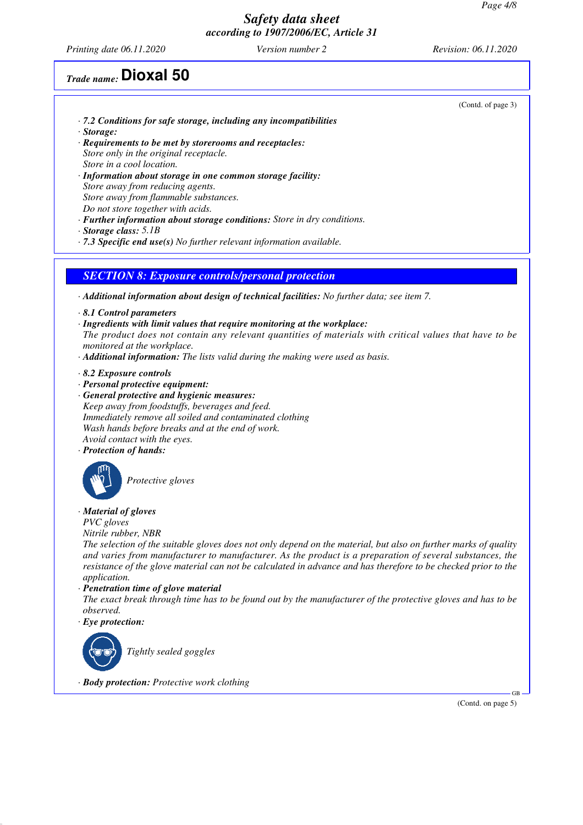*Printing date 06.11.2020 Version number 2 Revision: 06.11.2020*

## *Trade name:* **Dioxal 50**

- *· 7.2 Conditions for safe storage, including any incompatibilities*
- *· Storage:*
- *· Requirements to be met by storerooms and receptacles: Store only in the original receptacle. Store in a cool location.*
- *· Information about storage in one common storage facility: Store away from reducing agents. Store away from flammable substances. Do not store together with acids.*
- *· Further information about storage conditions: Store in dry conditions.*
- *· Storage class: 5.1B*
- *· 7.3 Specific end use(s) No further relevant information available.*

#### *SECTION 8: Exposure controls/personal protection*

- *· Additional information about design of technical facilities: No further data; see item 7.*
- *· 8.1 Control parameters*
- *· Ingredients with limit values that require monitoring at the workplace:*
- *The product does not contain any relevant quantities of materials with critical values that have to be monitored at the workplace.*
- *· Additional information: The lists valid during the making were used as basis.*
- *· 8.2 Exposure controls*
- *· Personal protective equipment:*
- *· General protective and hygienic measures: Keep away from foodstuffs, beverages and feed. Immediately remove all soiled and contaminated clothing Wash hands before breaks and at the end of work. Avoid contact with the eyes.*
- *· Protection of hands:*



*Protective gloves*

*· Material of gloves*

*PVC gloves*

*Nitrile rubber, NBR*

*The selection of the suitable gloves does not only depend on the material, but also on further marks of quality and varies from manufacturer to manufacturer. As the product is a preparation of several substances, the resistance of the glove material can not be calculated in advance and has therefore to be checked prior to the application.*

*· Penetration time of glove material*

*The exact break through time has to be found out by the manufacturer of the protective gloves and has to be observed.*

*· Eye protection:*



*Tightly sealed goggles*

*· Body protection: Protective work clothing*

(Contd. on page 5)

GB

(Contd. of page 3)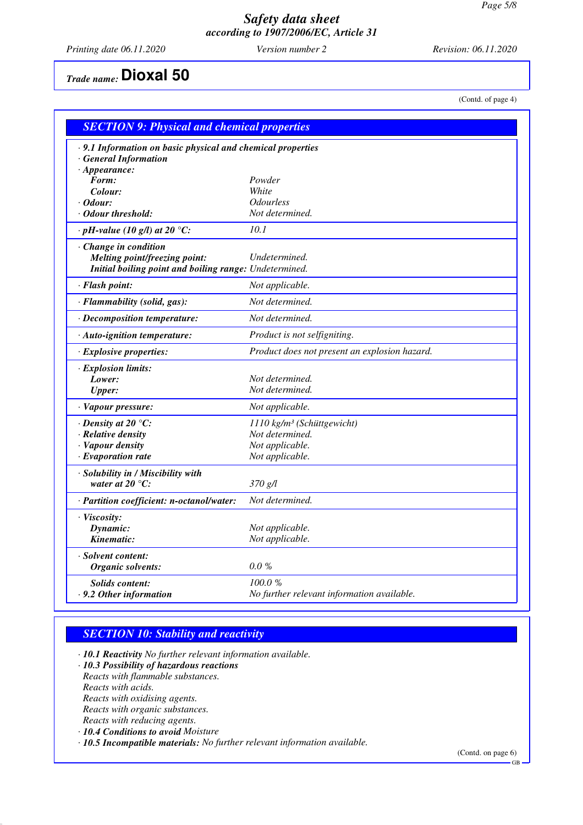*Printing date 06.11.2020 Version number 2 Revision: 06.11.2020*

(Contd. of page 4)

*Trade name:* **Dioxal 50**

| <b>SECTION 9: Physical and chemical properties</b>            |                                               |  |  |  |
|---------------------------------------------------------------|-----------------------------------------------|--|--|--|
| · 9.1 Information on basic physical and chemical properties   |                                               |  |  |  |
| <b>General Information</b>                                    |                                               |  |  |  |
| $\cdot$ Appearance:                                           |                                               |  |  |  |
| Form:                                                         | Powder<br>White                               |  |  |  |
| Colour:<br>· Odour:                                           | <i><b>Odourless</b></i>                       |  |  |  |
| · Odour threshold:                                            | Not determined.                               |  |  |  |
| $\cdot$ pH-value (10 g/l) at 20 °C:                           | 10.1                                          |  |  |  |
|                                                               |                                               |  |  |  |
| · Change in condition<br><b>Melting point/freezing point:</b> | Undetermined.                                 |  |  |  |
| Initial boiling point and boiling range: Undetermined.        |                                               |  |  |  |
|                                                               |                                               |  |  |  |
| · Flash point:                                                | Not applicable.                               |  |  |  |
| · Flammability (solid, gas):                                  | Not determined.                               |  |  |  |
| · Decomposition temperature:                                  | Not determined.                               |  |  |  |
| · Auto-ignition temperature:                                  | Product is not selfigniting.                  |  |  |  |
| · Explosive properties:                                       | Product does not present an explosion hazard. |  |  |  |
| · Explosion limits:                                           |                                               |  |  |  |
| Lower:                                                        | Not determined.                               |  |  |  |
| <b>Upper:</b>                                                 | Not determined.                               |  |  |  |
| · Vapour pressure:                                            | Not applicable.                               |  |  |  |
| $\cdot$ Density at 20 $\degree$ C:                            | 1110 kg/m <sup>3</sup> (Schüttgewicht)        |  |  |  |
| · Relative density                                            | Not determined.                               |  |  |  |
| · Vapour density                                              | Not applicable.                               |  |  |  |
| $\cdot$ Evaporation rate                                      | Not applicable.                               |  |  |  |
| · Solubility in / Miscibility with                            |                                               |  |  |  |
| water at 20 $^{\circ}C$ :                                     | 370 g/l                                       |  |  |  |
| · Partition coefficient: n-octanol/water:                     | Not determined.                               |  |  |  |
| · Viscosity:                                                  |                                               |  |  |  |
| Dynamic:                                                      | Not applicable.                               |  |  |  |
| Kinematic:                                                    | Not applicable.                               |  |  |  |
| · Solvent content:                                            |                                               |  |  |  |
| Organic solvents:                                             | 0.0%                                          |  |  |  |
| <b>Solids content:</b>                                        | 100.0%                                        |  |  |  |
| · 9.2 Other information                                       | No further relevant information available.    |  |  |  |
|                                                               |                                               |  |  |  |

#### *SECTION 10: Stability and reactivity*

*· 10.1 Reactivity No further relevant information available.*

- *· 10.3 Possibility of hazardous reactions*
- *Reacts with flammable substances. Reacts with acids.*

*Reacts with oxidising agents.*

*Reacts with organic substances.*

- *Reacts with reducing agents.*
- *· 10.4 Conditions to avoid Moisture*

*· 10.5 Incompatible materials: No further relevant information available.*

(Contd. on page 6)

GB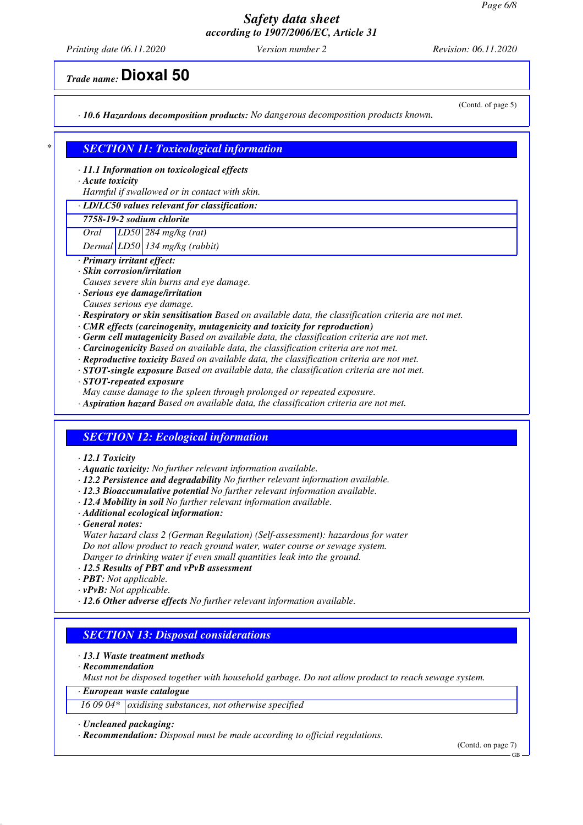*Printing date 06.11.2020 Version number 2 Revision: 06.11.2020*

*Trade name:* **Dioxal 50**

*· 10.6 Hazardous decomposition products: No dangerous decomposition products known.*

(Contd. of page 5)

#### *\* SECTION 11: Toxicological information*

*· 11.1 Information on toxicological effects*

*· Acute toxicity*

*Harmful if swallowed or in contact with skin.*

#### *· LD/LC50 values relevant for classification:*

*7758-19-2 sodium chlorite*

*Oral LD50 284 mg/kg (rat)*

*Dermal LD50 134 mg/kg (rabbit)*

*· Primary irritant effect:*

*· Skin corrosion/irritation*

- *Causes severe skin burns and eye damage.*
- *· Serious eye damage/irritation*
- *Causes serious eye damage.*
- *· Respiratory or skin sensitisation Based on available data, the classification criteria are not met.*
- *· CMR effects (carcinogenity, mutagenicity and toxicity for reproduction)*
- *· Germ cell mutagenicity Based on available data, the classification criteria are not met.*
- *· Carcinogenicity Based on available data, the classification criteria are not met.*
- *· Reproductive toxicity Based on available data, the classification criteria are not met.*
- *· STOT-single exposure Based on available data, the classification criteria are not met.*
- *· STOT-repeated exposure*
- *May cause damage to the spleen through prolonged or repeated exposure.*
- *· Aspiration hazard Based on available data, the classification criteria are not met.*

#### *SECTION 12: Ecological information*

#### *· 12.1 Toxicity*

- *· Aquatic toxicity: No further relevant information available.*
- *· 12.2 Persistence and degradability No further relevant information available.*
- *· 12.3 Bioaccumulative potential No further relevant information available.*
- *· 12.4 Mobility in soil No further relevant information available.*
- *· Additional ecological information:*
- *· General notes:*
- *Water hazard class 2 (German Regulation) (Self-assessment): hazardous for water Do not allow product to reach ground water, water course or sewage system. Danger to drinking water if even small quantities leak into the ground.*
- *· 12.5 Results of PBT and vPvB assessment*
- *· PBT: Not applicable.*
- *· vPvB: Not applicable.*
- *· 12.6 Other adverse effects No further relevant information available.*

#### *SECTION 13: Disposal considerations*

- *· 13.1 Waste treatment methods*
- *· Recommendation*
- *Must not be disposed together with household garbage. Do not allow product to reach sewage system.*
- *· European waste catalogue*
- *16 09 04\* oxidising substances, not otherwise specified*

#### *· Uncleaned packaging:*

*· Recommendation: Disposal must be made according to official regulations.*

(Contd. on page 7)

GB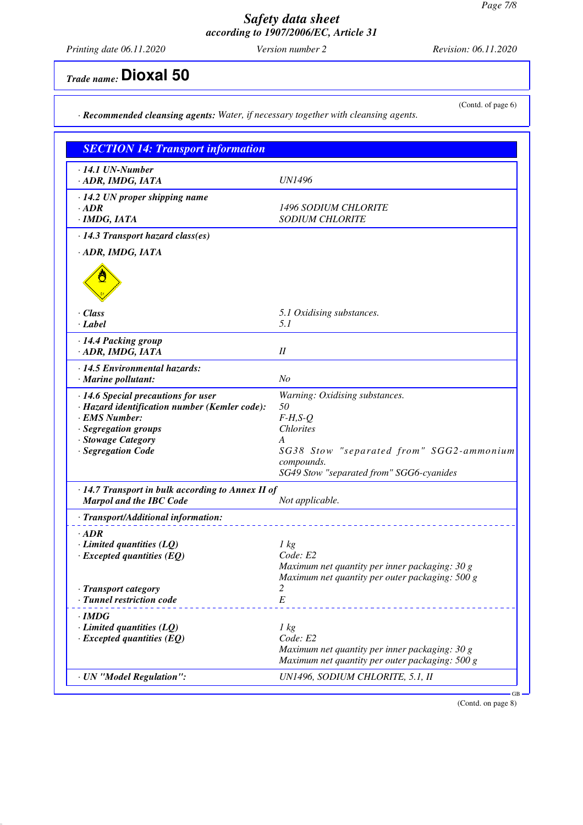*Printing date 06.11.2020 Version number 2 Revision: 06.11.2020*

(Contd. of page 6)

# *Trade name:* **Dioxal 50**

*· Recommended cleansing agents: Water, if necessary together with cleansing agents.*

| <b>SECTION 14: Transport information</b>                                                                                                                                  |                                                                                                                                                                                   |
|---------------------------------------------------------------------------------------------------------------------------------------------------------------------------|-----------------------------------------------------------------------------------------------------------------------------------------------------------------------------------|
| $\cdot$ 14.1 UN-Number<br>· ADR, IMDG, IATA                                                                                                                               | <b>UN1496</b>                                                                                                                                                                     |
| $\cdot$ 14.2 UN proper shipping name<br>$\cdot$ ADR<br>· IMDG, IATA                                                                                                       | <b>1496 SODIUM CHLORITE</b><br><b>SODIUM CHLORITE</b>                                                                                                                             |
| · 14.3 Transport hazard class(es)                                                                                                                                         |                                                                                                                                                                                   |
| · ADR, IMDG, IATA                                                                                                                                                         |                                                                                                                                                                                   |
| $\cdot$ Class<br>· Label                                                                                                                                                  | 5.1 Oxidising substances.<br>5.1                                                                                                                                                  |
| · 14.4 Packing group<br>· ADR, IMDG, IATA                                                                                                                                 | $I\!I$                                                                                                                                                                            |
| · 14.5 Environmental hazards:<br>· Marine pollutant:                                                                                                                      | N <sub>O</sub>                                                                                                                                                                    |
| · 14.6 Special precautions for user<br>· Hazard identification number (Kemler code):<br>· EMS Number:<br>· Segregation groups<br>· Stowage Category<br>· Segregation Code | Warning: Oxidising substances.<br>50<br>$F-H, S-O$<br><b>Chlorites</b><br>A<br>SG38 Stow "separated from" SGG2-ammonium<br>compounds.<br>SG49 Stow "separated from" SGG6-cyanides |
| · 14.7 Transport in bulk according to Annex II of<br><b>Marpol and the IBC Code</b>                                                                                       | Not applicable.                                                                                                                                                                   |
| · Transport/Additional information:                                                                                                                                       |                                                                                                                                                                                   |
| $\cdot$ ADR<br>$\cdot$ Limited quantities (LQ)<br>$\cdot$ Excepted quantities (EQ)                                                                                        | $1 \text{ kg}$<br>Code: E2<br>Maximum net quantity per inner packaging: 30 g<br>Maximum net quantity per outer packaging: 500 g                                                   |
| · Transport category<br>· Tunnel restriction code                                                                                                                         | 2<br>E                                                                                                                                                                            |
| · IMDG<br>$\cdot$ Limited quantities (LQ)<br>$\cdot$ Excepted quantities (EQ)                                                                                             | $1 \text{ kg}$<br>Code: E2<br>Maximum net quantity per inner packaging: 30 g<br>Maximum net quantity per outer packaging: 500 g                                                   |
| · UN "Model Regulation":                                                                                                                                                  | UN1496, SODIUM CHLORITE, 5.1, II                                                                                                                                                  |

(Contd. on page 8)